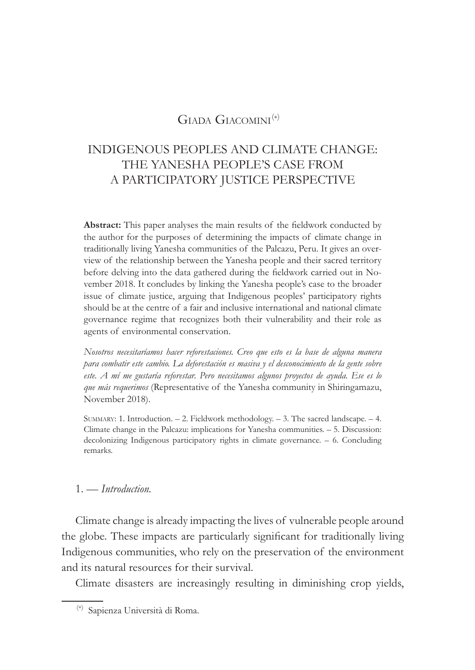## GIADA GIACOMINI<sup>(\*)</sup>

# INDIGENOUS PEOPLES AND CLIMATE CHANGE: THE YANESHA PEOPLE'S CASE FROM A PARTICIPATORY JUSTICE PERSPECTIVE

Abstract: This paper analyses the main results of the fieldwork conducted by the author for the purposes of determining the impacts of climate change in traditionally living Yanesha communities of the Palcazu, Peru. It gives an overview of the relationship between the Yanesha people and their sacred territory before delving into the data gathered during the fieldwork carried out in November 2018. It concludes by linking the Yanesha people's case to the broader issue of climate justice, arguing that Indigenous peoples' participatory rights should be at the centre of a fair and inclusive international and national climate governance regime that recognizes both their vulnerability and their role as agents of environmental conservation.

*Nosotros necesitaríamos hacer reforestaciones. Creo que esto es la base de alguna manera para combatir este cambio. La deforestación es masiva y el desconocimiento de la gente sobre* este. A mí me gustaría reforestar. Pero necesitamos algunos proyectos de ayuda. Ese es lo *que más requerimos* (Representative of the Yanesha community in Shiringamazu, November 2018).

SUMMARY: 1. Introduction. – 2. Fieldwork methodology. – 3. The sacred landscape. – 4. Climate change in the Palcazu: implications for Yanesha communities. – 5. Discussion: decolonizing Indigenous participatory rights in climate governance. – 6. Concluding remarks.

#### 1. — *Introduction*.

Climate change is already impacting the lives of vulnerable people around the globe. These impacts are particularly significant for traditionally living Indigenous communities, who rely on the preservation of the environment and its natural resources for their survival.

Climate disasters are increasingly resulting in diminishing crop yields,

<sup>(1)(\*)</sup> Sapienza Università di Roma.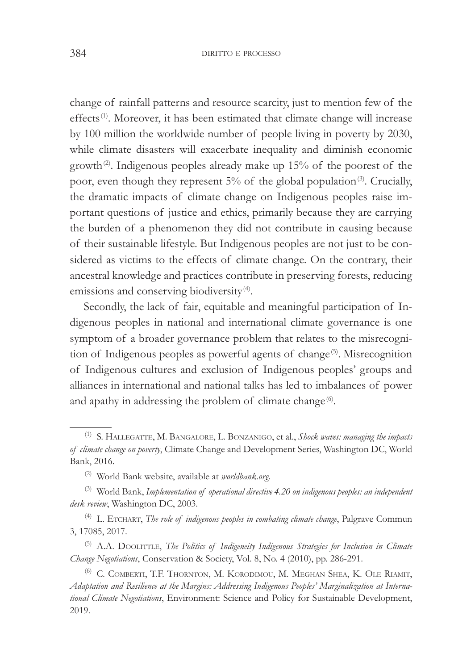change of rainfall patterns and resource scarcity, just to mention few of the effects<sup>(1)</sup>. Moreover, it has been estimated that climate change will increase by 100 million the worldwide number of people living in poverty by 2030, while climate disasters will exacerbate inequality and diminish economic growth<sup>(2)</sup>. Indigenous peoples already make up  $15%$  of the poorest of the poor, even though they represent  $5\%$  of the global population<sup>(3)</sup>. Crucially, the dramatic impacts of climate change on Indigenous peoples raise important questions of justice and ethics, primarily because they are carrying the burden of a phenomenon they did not contribute in causing because of their sustainable lifestyle. But Indigenous peoples are not just to be considered as victims to the effects of climate change. On the contrary, their ancestral knowledge and practices contribute in preserving forests, reducing emissions and conserving biodiversity<sup>(4)</sup>.

Secondly, the lack of fair, equitable and meaningful participation of Indigenous peoples in national and international climate governance is one symptom of a broader governance problem that relates to the misrecognition of Indigenous peoples as powerful agents of change<sup>(5)</sup>. Misrecognition of Indigenous cultures and exclusion of Indigenous peoples' groups and alliances in international and national talks has led to imbalances of power and apathy in addressing the problem of climate change<sup>(6)</sup>.

<sup>(5)</sup> A.A. DOOLITTLE, *The Politics of Indigeneity Indigenous Strategies for Inclusion in Climate Change Negotiations, Conservation & Society, Vol. 8, No. 4 (2010), pp. 286-291.* 

(6) C. COMBERTI, T.F. THORNTON, M. KORODIMOU, M. MEGHAN SHEA, K. OLE RIAMIT, Adaptation and Resilience at the Margins: Addressing Indigenous Peoples' Marginalization at International Climate Negotiations, Environment: Science and Policy for Sustainable Development, 2019.

<sup>&</sup>lt;sup>(1)</sup> S. HALLEGATTE, M. BANGALORE, L. BONZANIGO, et al., *Shock waves: managing the impacts* of climate change on poverty, Climate Change and Development Series, Washington DC, World Bank, 2016.

<sup>&</sup>lt;sup>(2)</sup> World Bank website, available at *worldbank.org*.

<sup>&</sup>lt;sup>(3)</sup> World Bank, *Implementation of operational directive* 4.20 on indigenous peoples: an independent desk review, Washington DC, 2003.

<sup>&</sup>lt;sup>(4)</sup> L. ETCHART, *The role of indigenous peoples in combating climate change*, Palgrave Commun 3, 17085, 2017.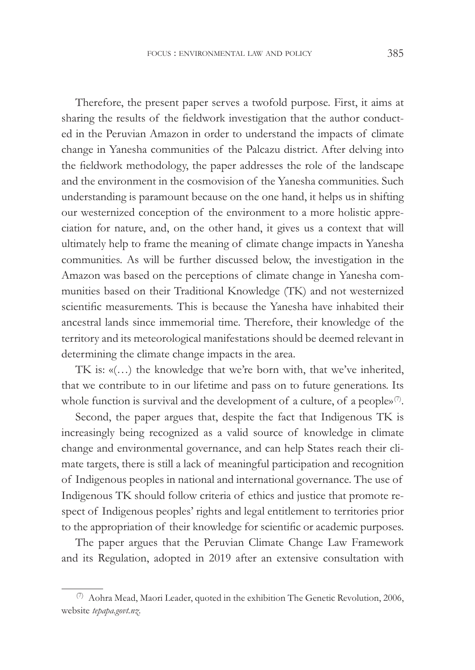Therefore, the present paper serves a twofold purpose. First, it aims at sharing the results of the fieldwork investigation that the author conducted in the Peruvian Amazon in order to understand the impacts of climate change in Yanesha communities of the Palcazu district. After delving into the fieldwork methodology, the paper addresses the role of the landscape and the environment in the cosmovision of the Yanesha communities. Such understanding is paramount because on the one hand, it helps us in shifting our westernized conception of the environment to a more holistic appreciation for nature, and, on the other hand, it gives us a context that will ultimately help to frame the meaning of climate change impacts in Yanesha communities. As will be further discussed below, the investigation in the Amazon was based on the perceptions of climate change in Yanesha communities based on their Traditional Knowledge (TK) and not westernized scientific measurements. This is because the Yanesha have inhabited their ancestral lands since immemorial time. Therefore, their knowledge of the territory and its meteorological manifestations should be deemed relevant in determining the climate change impacts in the area.

TK is: «(…) the knowledge that we're born with, that we've inherited, that we contribute to in our lifetime and pass on to future generations. Its whole function is survival and the development of a culture, of a people» $\mathcal{O}$ .

Second, the paper argues that, despite the fact that Indigenous TK is increasingly being recognized as a valid source of knowledge in climate change and environmental governance, and can help States reach their climate targets, there is still a lack of meaningful participation and recognition of Indigenous peoples in national and international governance. The use of Indigenous TK should follow criteria of ethics and justice that promote respect of Indigenous peoples' rights and legal entitlement to territories prior to the appropriation of their knowledge for scientific or academic purposes.

The paper argues that the Peruvian Climate Change Law Framework and its Regulation, adopted in 2019 after an extensive consultation with

 $(7)$  Aohra Mead, Maori Leader, quoted in the exhibition The Genetic Revolution, 2006, website tepapa.govt.nz.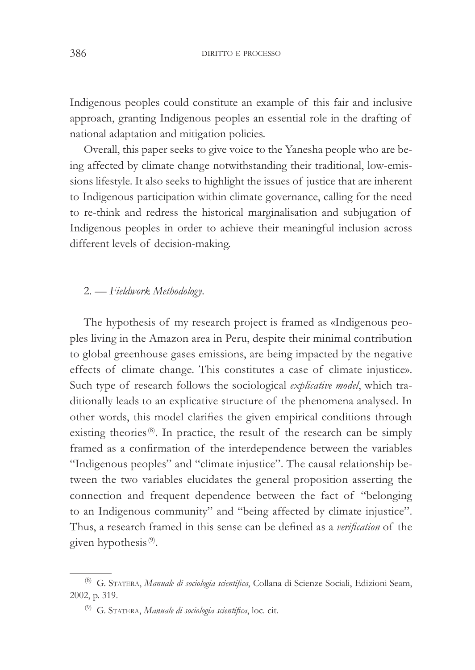Indigenous peoples could constitute an example of this fair and inclusive approach, granting Indigenous peoples an essential role in the drafting of national adaptation and mitigation policies.

Overall, this paper seeks to give voice to the Yanesha people who are being affected by climate change notwithstanding their traditional, low-emissions lifestyle. It also seeks to highlight the issues of justice that are inherent to Indigenous participation within climate governance, calling for the need to re-think and redress the historical marginalisation and subjugation of Indigenous peoples in order to achieve their meaningful inclusion across different levels of decision-making.

#### 2. — Fieldwork Methodology.

The hypothesis of my research project is framed as «Indigenous peoples living in the Amazon area in Peru, despite their minimal contribution to global greenhouse gases emissions, are being impacted by the negative effects of climate change. This constitutes a case of climate injustice». Such type of research follows the sociological *explicative model*, which traditionally leads to an explicative structure of the phenomena analysed. In other words, this model clarifies the given empirical conditions through existing theories<sup>(8)</sup>. In practice, the result of the research can be simply framed as a confirmation of the interdependence between the variables "Indigenous peoples" and "climate injustice". The causal relationship between the two variables elucidates the general proposition asserting the connection and frequent dependence between the fact of "belonging to an Indigenous community" and "being affected by climate injustice". Thus, a research framed in this sense can be defined as a verification of the given hypothesis<sup>(9)</sup>.

<sup>&</sup>lt;sup>(8)</sup> G. STATERA, *Manuale di sociologia scientifica*, Collana di Scienze Sociali, Edizioni Seam, 2002, p. 319.

<sup>&</sup>lt;sup>(9)</sup> G. STATERA, *Manuale di sociologia scientifica*, loc. cit.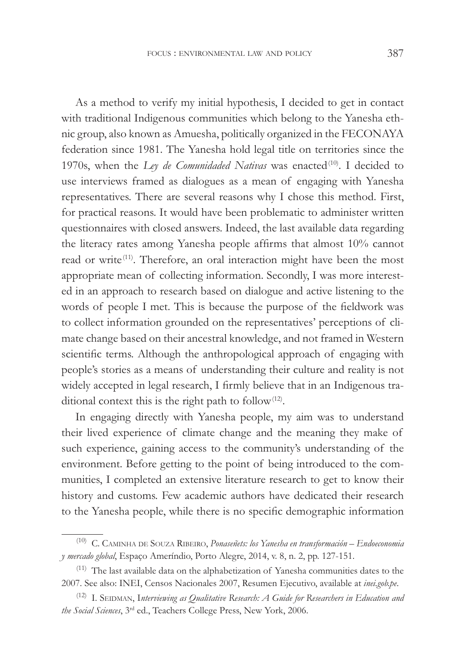As a method to verify my initial hypothesis, I decided to get in contact with traditional Indigenous communities which belong to the Yanesha ethnic group, also known as Amuesha, politically organized in the FECONAYA federation since 1981. The Yanesha hold legal title on territories since the 1970s, when the *Ley de Comunidaded Nativas* was enacted<sup>(10)</sup>. I decided to use interviews framed as dialogues as a mean of engaging with Yanesha representatives. There are several reasons why I chose this method. First, for practical reasons. It would have been problematic to administer written questionnaires with closed answers. Indeed, the last available data regarding the literacy rates among Yanesha people affirms that almost 10% cannot read or write<sup>(11)</sup>. Therefore, an oral interaction might have been the most appropriate mean of collecting information. Secondly, I was more interested in an approach to research based on dialogue and active listening to the words of people I met. This is because the purpose of the fieldwork was to collect information grounded on the representatives' perceptions of climate change based on their ancestral knowledge, and not framed in Western scientific terms. Although the anthropological approach of engaging with people's stories as a means of understanding their culture and reality is not widely accepted in legal research, I firmly believe that in an Indigenous traditional context this is the right path to follow $(12)$ .

In engaging directly with Yanesha people, my aim was to understand their lived experience of climate change and the meaning they make of such experience, gaining access to the community's understanding of the environment. Before getting to the point of being introduced to the communities, I completed an extensive literature research to get to know their history and customs. Few academic authors have dedicated their research to the Yanesha people, while there is no specific demographic information

<sup>&</sup>lt;sup>(10)</sup> C. CAMINHA DE SOUZA RIBEIRO, *Ponaseñets: los Yanesha en transformación* – Endoeconomia *y mercado global*, Espaço Ameríndio, Porto Alegre, 2014, v. 8, n. 2, pp. 127-151.

 $(11)$  The last available data on the alphabetization of Yanesha communities dates to the 2007. See also: INEI, Censos Nacionales 2007, Resumen Ejecutivo, available at *inei.gob.pe.* 

<sup>&</sup>lt;sup>(12)</sup> I. SEIDMAN, Interviewing as Qualitative Research: A Guide for Researchers in Education and the Social Sciences, 3<sup>rd</sup> ed., Teachers College Press, New York, 2006.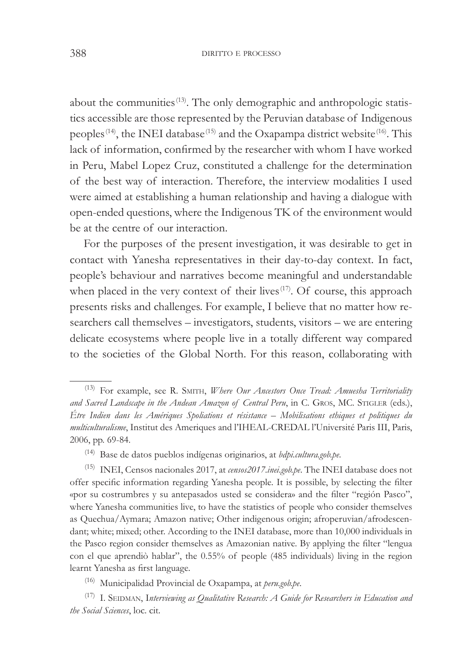about the communities<sup>(13)</sup>. The only demographic and anthropologic statistics accessible are those represented by the Peruvian database of Indigenous peoples<sup>(14)</sup>, the INEI database<sup>(15)</sup> and the Oxapampa district website<sup>(16)</sup>. This lack of information, confirmed by the researcher with whom I have worked in Peru, Mabel Lopez Cruz, constituted a challenge for the determination of the best way of interaction. Therefore, the interview modalities I used were aimed at establishing a human relationship and having a dialogue with open-ended questions, where the Indigenous TK of the environment would be at the centre of our interaction.

For the purposes of the present investigation, it was desirable to get in contact with Yanesha representatives in their day-to-day context. In fact, people's behaviour and narratives become meaningful and understandable when placed in the very context of their lives<sup> $(17)$ </sup>. Of course, this approach presents risks and challenges. For example, I believe that no matter how researchers call themselves – investigators, students, visitors – we are entering delicate ecosystems where people live in a totally different way compared to the societies of the Global North. For this reason, collaborating with

<sup>(14)</sup> Base de datos pueblos indígenas originarios, at *bdpi.cultura.gob.pe*.

<sup>(15)</sup> INEI, Censos nacionales 2017, at *censos2017.inei.gob.pe*. The INEI database does not offer specific information regarding Yanesha people. It is possible, by selecting the filter «por su costrumbres y su antepasados usted se considera» and the filter "región Pasco", where Yanesha communities live, to have the statistics of people who consider themselves as Quechua/Aymara; Amazon native; Other indigenous origin; afroperuvian/afrodescendant; white; mixed; other. According to the INEI database, more than 10,000 individuals in the Pasco region consider themselves as Amazonian native. By applying the filter "lengua con el que aprendiò hablar", the  $0.55\%$  of people (485 individuals) living in the region learnt Yanesha as first language.

<sup>(16)</sup> Municipalidad Provincial de Oxapampa, at *peru.gob.pe*.

<sup>(17)</sup> I. SEIDMAN, Interviewing as Qualitative Research: A Guide for Researchers in Education and *the Social Sciences*, loc. cit.

<sup>&</sup>lt;sup>(13)</sup> For example, see R. SMITH, *Where Our Ancestors Once Tread: Amuesha Territoriality* and Sacred Landscape in the Andean Amazon of Central Peru, in C. GROS, MC. STIGLER (eds.), Etre Indien dans les Amériques Spoliations et résistance – Mobilisations ethiques et politiques du *PHAIticulturalisme*, Institut des Ameriques and l'IHEAL-CREDAL l'Université Paris III, Paris, 2006, pp. 69-84.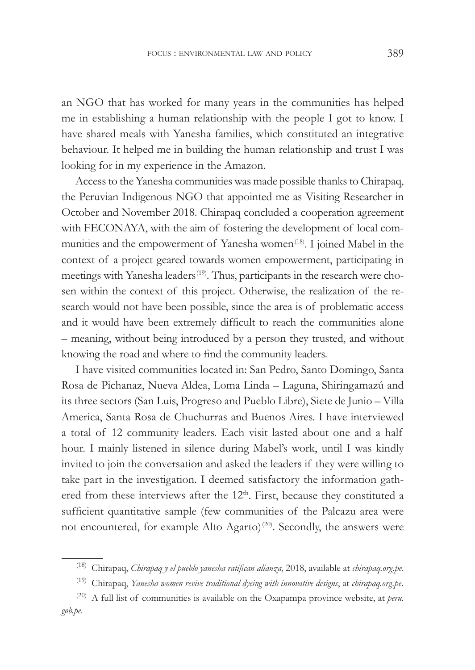an NGO that has worked for many years in the communities has helped me in establishing a human relationship with the people I got to know. I have shared meals with Yanesha families, which constituted an integrative behaviour. It helped me in building the human relationship and trust I was looking for in my experience in the Amazon.

Access to the Yanesha communities was made possible thanks to Chirapaq, the Peruvian Indigenous NGO that appointed me as Visiting Researcher in October and November 2018. Chirapaq concluded a cooperation agreement with FECONAYA, with the aim of fostering the development of local communities and the empowerment of Yanesha women<sup>(18)</sup>. I joined Mabel in the context of a project geared towards women empowerment, participating in meetings with Yanesha leaders<sup>(19)</sup>. Thus, participants in the research were chosen within the context of this project. Otherwise, the realization of the research would not have been possible, since the area is of problematic access and it would have been extremely difficult to reach the communities alone – meaning, without being introduced by a person they trusted, and without knowing the road and where to find the community leaders.

I have visited communities located in: San Pedro, Santo Domingo, Santa Rosa de Pichanaz, Nueva Aldea, Loma Linda – Laguna, Shiringamazú and its three sectors (San Luis, Progreso and Pueblo Libre), Siete de Junio – Villa America, Santa Rosa de Chuchurras and Buenos Aires. I have interviewed a total of 12 community leaders. Each visit lasted about one and a half hour. I mainly listened in silence during Mabel's work, until I was kindly invited to join the conversation and asked the leaders if they were willing to take part in the investigation. I deemed satisfactory the information gathered from these interviews after the 12<sup>th</sup>. First, because they constituted a sufficient quantitative sample (few communities of the Palcazu area were not encountered, for example Alto Agarto)<sup>(20)</sup>. Secondly, the answers were

<sup>&</sup>lt;sup>(18)</sup> Chirapaq, Chirapaq y el pueblo yanesha ratifican alianza, 2018, available at *chirapaq.org.pe.* 

<sup>&</sup>lt;sup>(19)</sup> Chirapaq, Yanesha women revive traditional dyeing with innovative designs, at *chirapaq.org.pe.* 

 $(20)$  A full list of communities is available on the Oxapampa province website, at *peru*. *JRESH*.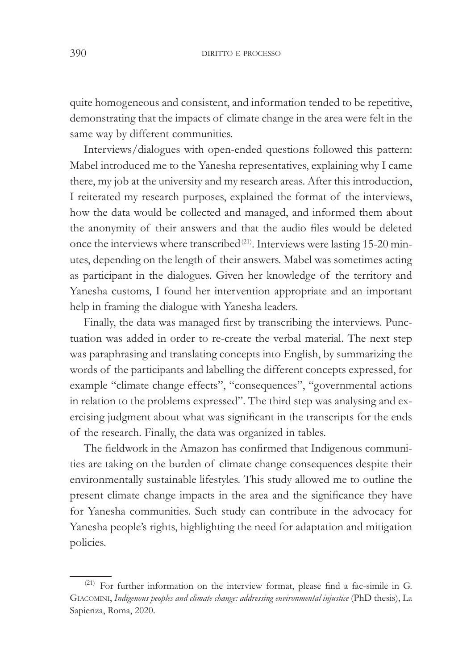quite homogeneous and consistent, and information tended to be repetitive, demonstrating that the impacts of climate change in the area were felt in the same way by different communities.

Interviews/dialogues with open-ended questions followed this pattern: Mabel introduced me to the Yanesha representatives, explaining why I came there, my job at the university and my research areas. After this introduction, I reiterated my research purposes, explained the format of the interviews, how the data would be collected and managed, and informed them about the anonymity of their answers and that the audio files would be deleted once the interviews where transcribed<sup>(21)</sup>. Interviews were lasting 15-20 minutes, depending on the length of their answers. Mabel was sometimes acting as participant in the dialogues. Given her knowledge of the territory and Yanesha customs, I found her intervention appropriate and an important help in framing the dialogue with Yanesha leaders.

Finally, the data was managed first by transcribing the interviews. Punctuation was added in order to re-create the verbal material. The next step was paraphrasing and translating concepts into English, by summarizing the words of the participants and labelling the different concepts expressed, for example "climate change effects", "consequences", "governmental actions in relation to the problems expressed". The third step was analysing and exercising judgment about what was significant in the transcripts for the ends of the research. Finally, the data was organized in tables.

The fieldwork in the Amazon has confirmed that Indigenous communities are taking on the burden of climate change consequences despite their environmentally sustainable lifestyles. This study allowed me to outline the present climate change impacts in the area and the significance they have for Yanesha communities. Such study can contribute in the advocacy for Yanesha people's rights, highlighting the need for adaptation and mitigation policies.

 $(21)$  For further information on the interview format, please find a fac-simile in G. GIACOMINI, Indigenous peoples and climate change: addressing environmental injustice (PhD thesis), La Sapienza, Roma, 2020.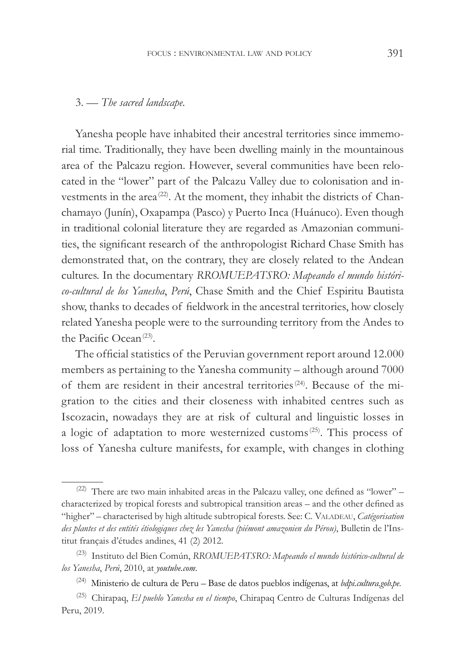#### 3. — The sacred landscape.

Yanesha people have inhabited their ancestral territories since immemorial time. Traditionally, they have been dwelling mainly in the mountainous area of the Palcazu region. However, several communities have been relocated in the "lower" part of the Palcazu Valley due to colonisation and investments in the area<sup>(22)</sup>. At the moment, they inhabit the districts of Chanchamayo (Junín), Oxapampa (Pasco) y Puerto Inca (Huánuco). Even though in traditional colonial literature they are regarded as Amazonian communities, the significant research of the anthropologist Richard Chase Smith has demonstrated that, on the contrary, they are closely related to the Andean cultures. In the documentary *RROMUEPATSRO*: Mapeando el mundo histórico-cultural de los Yanesha, Perú, Chase Smith and the Chief Espiritu Bautista show, thanks to decades of fieldwork in the ancestral territories, how closely related Yanesha people were to the surrounding territory from the Andes to the Pacific Ocean<sup>(23)</sup>.

The official statistics of the Peruvian government report around 12.000 members as pertaining to the Yanesha community – although around 7000 of them are resident in their ancestral territories<sup>(24)</sup>. Because of the migration to the cities and their closeness with inhabited centres such as Iscozacin, nowadays they are at risk of cultural and linguistic losses in a logic of adaptation to more westernized customs<sup>(25)</sup>. This process of loss of Yanesha culture manifests, for example, with changes in clothing

<sup>(22)</sup> There are two main inhabited areas in the Palcazu valley, one defined as "lower"  $$ characterized by tropical forests and subtropical transition areas – and the other defined as "higher" – characterised by high altitude subtropical forests. See: C. VALADEAU, *Catégorisation* des plantes et des entités étiologiques chez les Yanesha (piémont amazonien du Pérou), Bulletin de l'Institut français d'études andines, 41 (2) 2012.

<sup>&</sup>lt;sup>(23)</sup> Instituto del Bien Común, *RROMUEPATSRO: Mapeando el mundo histórico-cultural de los Yanesha, Perú, 2010, at youtube.com.* 

<sup>&</sup>lt;sup>(24)</sup> Ministerio de cultura de Peru – Base de datos pueblos indígenas, at *bdpi.cultura.gob.pe*.

<sup>&</sup>lt;sup>(25)</sup> Chirapaq, El pueblo Yanesha en el tiempo, Chirapaq Centro de Culturas Indígenas del Peru, 2019.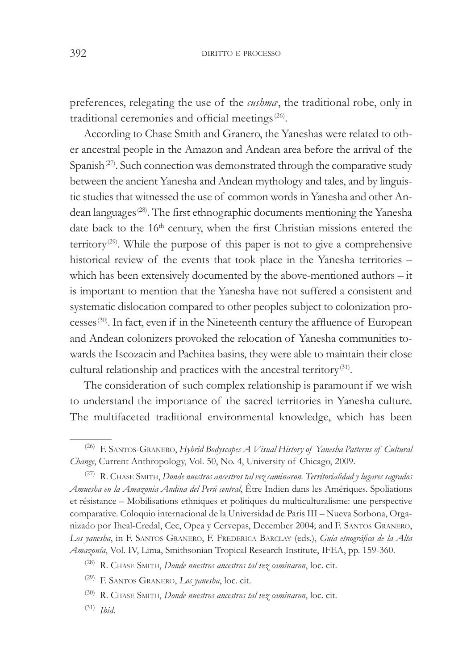preferences, relegating the use of the *cushma*, the traditional robe, only in traditional ceremonies and official meetings<sup>(26)</sup>.

According to Chase Smith and Granero, the Yaneshas were related to other ancestral people in the Amazon and Andean area before the arrival of the Spanish $(27)$ . Such connection was demonstrated through the comparative study between the ancient Yanesha and Andean mythology and tales, and by linguistic studies that witnessed the use of common words in Yanesha and other Andean languages<sup>(28)</sup>. The first ethnographic documents mentioning the Yanesha date back to the 16<sup>th</sup> century, when the first Christian missions entered the territory<sup>(29)</sup>. While the purpose of this paper is not to give a comprehensive historical review of the events that took place in the Yanesha territories – which has been extensively documented by the above-mentioned authors – it is important to mention that the Yanesha have not suffered a consistent and systematic dislocation compared to other peoples subject to colonization processes<sup>(30)</sup>. In fact, even if in the Nineteenth century the affluence of European and Andean colonizers provoked the relocation of Yanesha communities towards the Iscozacin and Pachitea basins, they were able to maintain their close cultural relationship and practices with the ancestral territory<sup>(31)</sup>.

The consideration of such complex relationship is paramount if we wish to understand the importance of the sacred territories in Yanesha culture. The multifaceted traditional environmental knowledge, which has been

<sup>&</sup>lt;sup>(26)</sup> F. SANTOS-GRANERO, *Hybrid Bodyscapes A Visual History of Yanesha Patterns of Cultural* Change, Current Anthropology, Vol. 50, No. 4, University of Chicago, 2009.

<sup>&</sup>lt;sup>(27)</sup> R. CHASE SMITH, *Donde nuestros ancestros tal vez caminaron*. Territorialidad y lugares sagrados Amuesha en la Amazonia Andina del Perú central, Être Indien dans les Amériques. Spoliations et résistance – Mobilisations ethniques et politiques du multiculturalisme: une perspective comparative. Coloquio internacional de la Universidad de Paris III - Nueva Sorbona, Organizado por Iheal-Credal, Cec, Opea y Cervepas, December 2004; and F. SANTOS GRANERO, Los yanesha, in F. SANTOS GRANERO, F. FREDERICA BARCLAY (eds.), *Guía etnográfica de la Alta* Amazonía, Vol. IV, Lima, Smithsonian Tropical Research Institute, IFEA, pp. 159-360.

<sup>&</sup>lt;sup>(28)</sup> R. CHASE SMITH, *Donde nuestros ancestros tal vez caminaron*, loc. cit.

<sup>&</sup>lt;sup>(29)</sup> F. SANTOS GRANERO, *Los yanesha*, loc. cit.

<sup>&</sup>lt;sup>(30)</sup> R. CHASE SMITH, *Donde nuestros ancestros tal vez caminaron*, loc. cit.

<sup>(31)</sup> *Ibid.*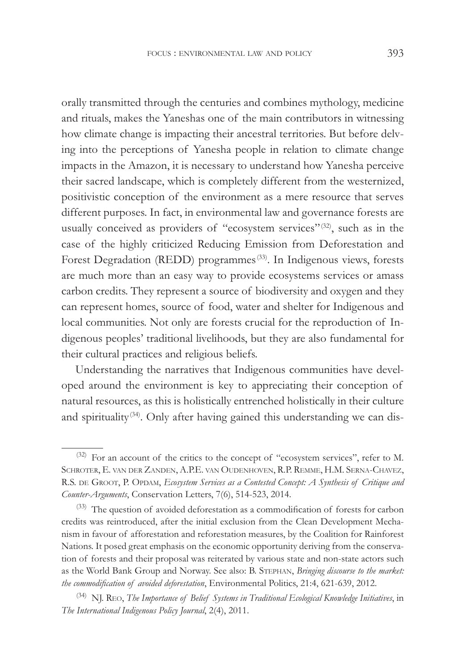orally transmitted through the centuries and combines mythology, medicine and rituals, makes the Yaneshas one of the main contributors in witnessing how climate change is impacting their ancestral territories. But before delving into the perceptions of Yanesha people in relation to climate change impacts in the Amazon, it is necessary to understand how Yanesha perceive their sacred landscape, which is completely different from the westernized, positivistic conception of the environment as a mere resource that serves different purposes. In fact, in environmental law and governance forests are usually conceived as providers of "ecosystem services"<sup>(32)</sup>, such as in the case of the highly criticized Reducing Emission from Deforestation and Forest Degradation (REDD) programmes<sup>(33)</sup>. In Indigenous views, forests are much more than an easy way to provide ecosystems services or amass carbon credits. They represent a source of biodiversity and oxygen and they can represent homes, source of food, water and shelter for Indigenous and local communities. Not only are forests crucial for the reproduction of Indigenous peoples' traditional livelihoods, but they are also fundamental for their cultural practices and religious beliefs.

Understanding the narratives that Indigenous communities have developed around the environment is key to appreciating their conception of natural resources, as this is holistically entrenched holistically in their culture and spirituality<sup>(34)</sup>. Only after having gained this understanding we can dis-

<sup>(32)</sup> For an account of the critics to the concept of "ecosystem services", refer to M. SCHROTER, E. VAN DER ZANDEN, A.P.E. VAN OUDENHOVEN, R.P. REMME, H.M. SERNA-CHAVEZ, R.S. DE GROOT, P. OPDAM, *Ecosystem Services as a Contested Concept: A Synthesis of Critique and* Counter-Arguments, Conservation Letters, 7(6), 514-523, 2014.

 $^{(33)}$  The question of avoided deforestation as a commodification of forests for carbon credits was reintroduced, after the initial exclusion from the Clean Development Mechanism in favour of afforestation and reforestation measures, by the Coalition for Rainforest Nations. It posed great emphasis on the economic opportunity deriving from the conservation of forests and their proposal was reiterated by various state and non-state actors such as the World Bank Group and Norway. See also: B. STEPHAN, *Bringing discourse to the market*: *the commodification of avoided deforestation*, Environmental Politics, 21:4, 621-639, 2012.

<sup>&</sup>lt;sup>(34)</sup> NJ. REO, *The Importance of Belief Systems in Traditional Ecological Knowledge Initiatives*, in *The International Indigenous Policy Journal*, 2(4), 2011.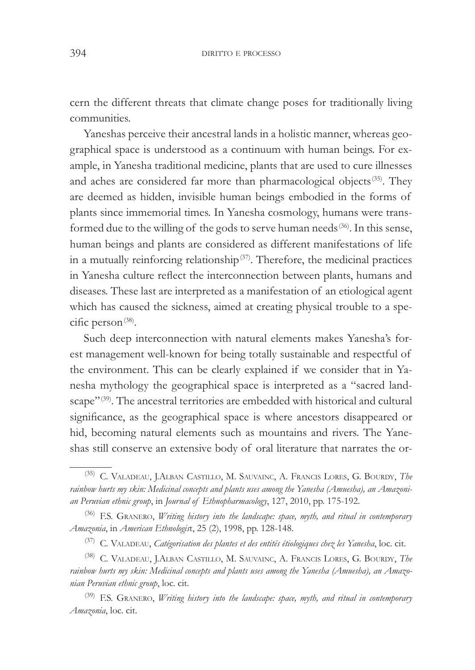cern the different threats that climate change poses for traditionally living communities.

Yaneshas perceive their ancestral lands in a holistic manner, whereas geographical space is understood as a continuum with human beings. For example, in Yanesha traditional medicine, plants that are used to cure illnesses and aches are considered far more than pharmacological objects<sup>(35)</sup>. They are deemed as hidden, invisible human beings embodied in the forms of plants since immemorial times. In Yanesha cosmology, humans were transformed due to the willing of the gods to serve human needs<sup>(36)</sup>. In this sense, human beings and plants are considered as different manifestations of life in a mutually reinforcing relationship $(37)$ . Therefore, the medicinal practices in Yanesha culture reflect the interconnection between plants, humans and diseases. These last are interpreted as a manifestation of an etiological agent which has caused the sickness, aimed at creating physical trouble to a specific person<sup>(38)</sup>.

Such deep interconnection with natural elements makes Yanesha's forest management well-known for being totally sustainable and respectful of the environment. This can be clearly explained if we consider that in Yanesha mythology the geographical space is interpreted as a "sacred landscape"<sup>(39)</sup>. The ancestral territories are embedded with historical and cultural significance, as the geographical space is where ancestors disappeared or hid, becoming natural elements such as mountains and rivers. The Yaneshas still conserve an extensive body of oral literature that narrates the or-

<sup>&</sup>lt;sup>(35)</sup> C. VALADEAU, J.ALBAN CASTILLO, M. SAUVAINC, A. FRANCIS LORES, G. BOURDY, *The* rainbow hurts my skin: Medicinal concepts and plants uses among the Yanesha (Amuesha), an Amazoni*an Peruvian ethnic group*, in *Journal of Ethnopharmacology*, 127, 2010, pp. 175-192.

<sup>&</sup>lt;sup>(36)</sup> F.S. GRANERO, *Writing history into the landscape: space, myth, and ritual in contemporary Amazonia*, in *American Ethnologist*, 25 (2), 1998, pp. 128-148.

<sup>&</sup>lt;sup>(37)</sup> C. VALADEAU, *Catégorisation des plantes et des entités étiologiques chez les Yanesha*, loc. cit.

<sup>&</sup>lt;sup>(38)</sup> C. VALADEAU, J.ALBAN CASTILLO, M. SAUVAINC, A. FRANCIS LORES, G. BOURDY, *The* rainbow hurts my skin: Medicinal concepts and plants uses among the Yanesha (Amuesha), an Amazo*nian Peruvian ethnic group*, loc. cit.

<sup>&</sup>lt;sup>(39)</sup> F.S. GRANERO, *Writing history into the landscape: space, myth, and ritual in contemporary* Amazonia, loc. cit.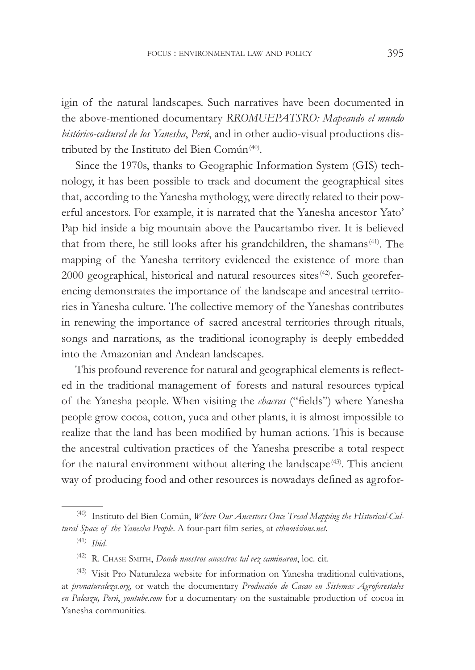igin of the natural landscapes. Such narratives have been documented in the above-mentioned documentary *RROMUEPATSRO: Mapeando el mundo histórico-cultural de los Yanesha*, *Perú*, and in other audio-visual productions distributed by the Instituto del Bien Común<sup>(40)</sup>.

Since the 1970s, thanks to Geographic Information System (GIS) technology, it has been possible to track and document the geographical sites that, according to the Yanesha mythology, were directly related to their powerful ancestors. For example, it is narrated that the Yanesha ancestor Yato' Pap hid inside a big mountain above the Paucartambo river. It is believed that from there, he still looks after his grandchildren, the shamans<sup>(41)</sup>. The mapping of the Yanesha territory evidenced the existence of more than 2000 geographical, historical and natural resources sites<sup>(42)</sup>. Such georeferencing demonstrates the importance of the landscape and ancestral territories in Yanesha culture. The collective memory of the Yaneshas contributes in renewing the importance of sacred ancestral territories through rituals, songs and narrations, as the traditional iconography is deeply embedded into the Amazonian and Andean landscapes.

This profound reverence for natural and geographical elements is reflected in the traditional management of forests and natural resources typical of the Yanesha people. When visiting the *chacras* ("fields") where Yanesha people grow cocoa, cotton, yuca and other plants, it is almost impossible to realize that the land has been modified by human actions. This is because the ancestral cultivation practices of the Yanesha prescribe a total respect for the natural environment without altering the landscape<sup> $(43)$ </sup>. This ancient way of producing food and other resources is nowadays defined as agrofor-

<sup>&</sup>lt;sup>(40)</sup> Instituto del Bien Común, *Where Our Ancestors Once Tread Mapping the Historical-Cultural Space of the Yanesha People*. A four-part film series, at ethnovisions.net.

 $(41)$  *Ibid.* 

<sup>&</sup>lt;sup>(42)</sup> R. CHASE SMITH, *Donde nuestros ancestros tal vez caminaron*, loc. cit.

<sup>(43)</sup> Visit Pro Naturaleza website for information on Yanesha traditional cultivations, at *pronaturaleza.org*, or watch the documentary *Producción de Cacao en Sistemas Agroforestales en Palcazu*, *Perú*, *youtube.com* for a documentary on the sustainable production of cocoa in Yanesha communities.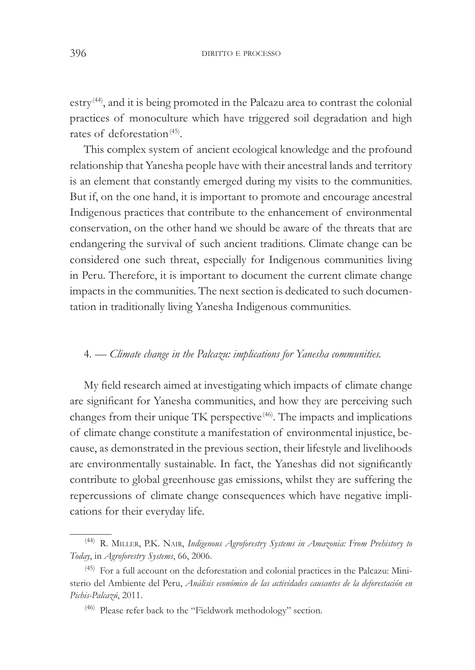estry(44), and it is being promoted in the Palcazu area to contrast the colonial practices of monoculture which have triggered soil degradation and high rates of deforestation<sup>(45)</sup>.

This complex system of ancient ecological knowledge and the profound relationship that Yanesha people have with their ancestral lands and territory is an element that constantly emerged during my visits to the communities. But if, on the one hand, it is important to promote and encourage ancestral Indigenous practices that contribute to the enhancement of environmental conservation, on the other hand we should be aware of the threats that are endangering the survival of such ancient traditions. Climate change can be considered one such threat, especially for Indigenous communities living in Peru. Therefore, it is important to document the current climate change impacts in the communities. The next section is dedicated to such documentation in traditionally living Yanesha Indigenous communities.

#### 4. — *Climate change in the Palcazu: implications for Yanesha communities.*

My field research aimed at investigating which impacts of climate change are significant for Yanesha communities, and how they are perceiving such changes from their unique TK perspective<sup>(46)</sup>. The impacts and implications of climate change constitute a manifestation of environmental injustice, because, as demonstrated in the previous section, their lifestyle and livelihoods are environmentally sustainable. In fact, the Yaneshas did not significantly contribute to global greenhouse gas emissions, whilst they are suffering the repercussions of climate change consequences which have negative implications for their everyday life.

<sup>&</sup>lt;sup>(44)</sup> R. MILLER, P.K. NAIR, *Indigenous Agroforestry Systems in Amazonia*: From Prehistory to *Today*, in *Agroforestry Systems*, 66, 2006.

 $(45)$  For a full account on the deforestation and colonial practices in the Palcazu: Ministerio del Ambiente del Peru, *Análisis económico de las actividades causantes de la deforestación en* Pichis-Palcazú, 2011.

<sup>(46)</sup> Please refer back to the "Fieldwork methodology" section.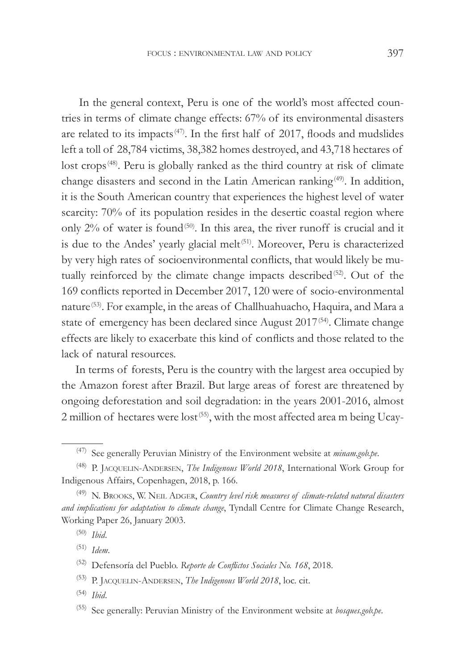In the general context, Peru is one of the world's most affected countries in terms of climate change effects: 67% of its environmental disasters are related to its impacts<sup>(47)</sup>. In the first half of 2017, floods and mudslides left a toll of 28,784 victims, 38,382 homes destroyed, and 43,718 hectares of lost crops<sup>(48)</sup>. Peru is globally ranked as the third country at risk of climate change disasters and second in the Latin American ranking<sup>(49)</sup>. In addition, it is the South American country that experiences the highest level of water scarcity: 70% of its population resides in the desertic coastal region where only  $2\%$  of water is found<sup>(50)</sup>. In this area, the river runoff is crucial and it is due to the Andes' yearly glacial melt<sup>(51)</sup>. Moreover, Peru is characterized by very high rates of socioenvironmental conflicts, that would likely be mutually reinforced by the climate change impacts described<sup>(52)</sup>. Out of the 169 conflicts reported in December 2017, 120 were of socio-environmental nature<sup>(53)</sup>. For example, in the areas of Challhuahuacho, Haquira, and Mara a state of emergency has been declared since August 2017<sup>(54)</sup>. Climate change effects are likely to exacerbate this kind of conflicts and those related to the lack of natural resources.

In terms of forests, Peru is the country with the largest area occupied by the Amazon forest after Brazil. But large areas of forest are threatened by ongoing deforestation and soil degradation: in the years 2001-2016, almost 2 million of hectares were lost<sup>(55)</sup>, with the most affected area m being Ucay-

(51) *Idem.* 

<sup>(47)</sup> See generally Peruvian Ministry of the Environment website at *minam.gob.pe*.

<sup>&</sup>lt;sup>(48)</sup> P. JACQUELIN-ANDERSEN, *The Indigenous World 2018*, International Work Group for Indigenous Affairs, Copenhagen, 2018, p. 166.

<sup>&</sup>lt;sup>(49)</sup> N. BROOKS, W. NEIL ADGER, *Country level risk measures of climate-related natural disasters* and implications for adaptation to climate change, Tyndall Centre for Climate Change Research, Working Paper 26, January 2003.

<sup>&</sup>lt;sup>(50)</sup> *Ibid.* 

<sup>&</sup>lt;sup>(52)</sup> Defensoría del Pueblo. Reporte de Conflictos Sociales No. 168, 2018.

<sup>&</sup>lt;sup>(53)</sup> P. JACQUELIN-ANDERSEN, *The Indigenous World 2018*, loc. cit.

<sup>&</sup>lt;sup>(54)</sup> *Ibid.* 

<sup>&</sup>lt;sup>(55)</sup> See generally: Peruvian Ministry of the Environment website at *bosques.gob.pe*.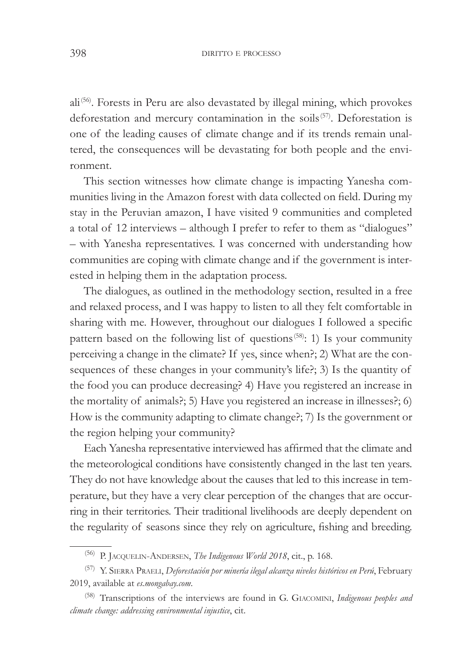398 DIRITTO E PROCESSO

ali(56). Forests in Peru are also devastated by illegal mining, which provokes deforestation and mercury contamination in the soils<sup>(57)</sup>. Deforestation is one of the leading causes of climate change and if its trends remain unaltered, the consequences will be devastating for both people and the environment.

This section witnesses how climate change is impacting Yanesha communities living in the Amazon forest with data collected on field. During my stay in the Peruvian amazon, I have visited 9 communities and completed a total of 12 interviews – although I prefer to refer to them as "dialogues" – with Yanesha representatives. I was concerned with understanding how communities are coping with climate change and if the government is interested in helping them in the adaptation process.

The dialogues, as outlined in the methodology section, resulted in a free and relaxed process, and I was happy to listen to all they felt comfortable in sharing with me. However, throughout our dialogues I followed a specific pattern based on the following list of questions<sup> $(58)$ </sup>: 1) Is your community perceiving a change in the climate? If yes, since when?; 2) What are the consequences of these changes in your community's life?; 3) Is the quantity of the food you can produce decreasing? 4) Have you registered an increase in the mortality of animals?; 5) Have you registered an increase in illnesses?; 6) How is the community adapting to climate change?; 7) Is the government or the region helping your community?

Each Yanesha representative interviewed has affirmed that the climate and the meteorological conditions have consistently changed in the last ten years. They do not have knowledge about the causes that led to this increase in temperature, but they have a very clear perception of the changes that are occurring in their territories. Their traditional livelihoods are deeply dependent on the regularity of seasons since they rely on agriculture, fishing and breeding.

<sup>&</sup>lt;sup>(56)</sup> P. JACQUELIN-ANDERSEN, *The Indigenous World 2018*, cit., p. 168.

<sup>&</sup>lt;sup>(57)</sup> Y. SIERRA PRAELI, *Deforestación por minería ilegal alcanza niveles históricos en Perú*, February 2019, available at *es.mongabay.com*.

<sup>(58)</sup> Transcriptions of the interviews are found in G. GIACOMINI, *Indigenous peoples and climate change: addressing environmental injustice, cit.*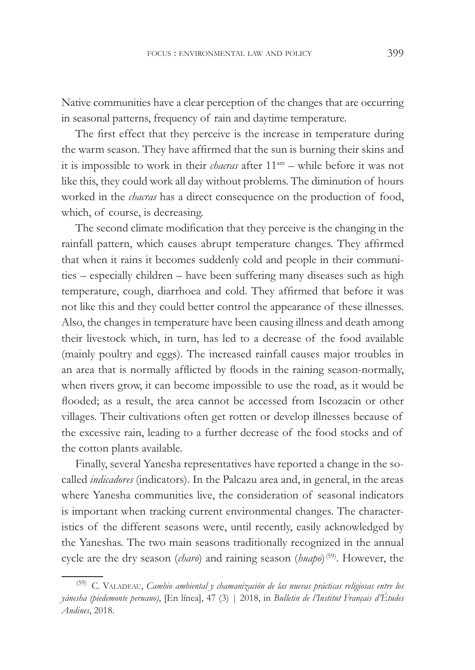Native communities have a clear perception of the changes that are occurring in seasonal patterns, frequency of rain and daytime temperature.

The first effect that they perceive is the increase in temperature during the warm season. They have affirmed that the sun is burning their skins and it is impossible to work in their *chacras* after  $11<sup>am</sup>$  – while before it was not like this, they could work all day without problems. The diminution of hours worked in the *chacras* has a direct consequence on the production of food, which, of course, is decreasing.

The second climate modification that they perceive is the changing in the rainfall pattern, which causes abrupt temperature changes. They affirmed that when it rains it becomes suddenly cold and people in their communities – especially children – have been suffering many diseases such as high temperature, cough, diarrhoea and cold. They affirmed that before it was not like this and they could better control the appearance of these illnesses. Also, the changes in temperature have been causing illness and death among their livestock which, in turn, has led to a decrease of the food available (mainly poultry and eggs). The increased rainfall causes major troubles in an area that is normally afflicted by floods in the raining season-normally, when rivers grow, it can become impossible to use the road, as it would be flooded; as a result, the area cannot be accessed from Iscozacin or other villages. Their cultivations often get rotten or develop illnesses because of the excessive rain, leading to a further decrease of the food stocks and of the cotton plants available.

Finally, several Yanesha representatives have reported a change in the socalled *indicadores* (indicators). In the Palcazu area and, in general, in the areas where Yanesha communities live, the consideration of seasonal indicators is important when tracking current environmental changes. The characteristics of the different seasons were, until recently, easily acknowledged by the Yaneshas. The two main seasons traditionally recognized in the annual cycle are the dry season (*charo*) and raining season (*huapo*)<sup>(59)</sup>. However, the

<sup>&</sup>lt;sup>(59)</sup> C. VALADEAU, *Cambio ambiental y chamanización de las nuevas prácticas religiosas entre los \iQHVKDSLHGHPRQWHSHUXDQR*, [En línea], 47 (3) | 2018, in *%XOOHWLQGHO·,QVWLWXW)UDQoDLVG·eWXGHV Andines*, 2018.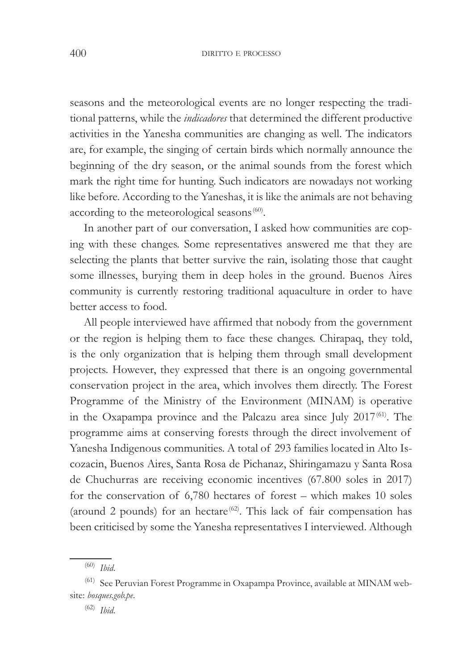seasons and the meteorological events are no longer respecting the traditional patterns, while the *indicadores* that determined the different productive activities in the Yanesha communities are changing as well. The indicators are, for example, the singing of certain birds which normally announce the beginning of the dry season, or the animal sounds from the forest which mark the right time for hunting. Such indicators are nowadays not working like before. According to the Yaneshas, it is like the animals are not behaving according to the meteorological seasons<sup>(60)</sup>.

In another part of our conversation, I asked how communities are coping with these changes. Some representatives answered me that they are selecting the plants that better survive the rain, isolating those that caught some illnesses, burying them in deep holes in the ground. Buenos Aires community is currently restoring traditional aquaculture in order to have better access to food.

All people interviewed have affirmed that nobody from the government or the region is helping them to face these changes. Chirapaq, they told, is the only organization that is helping them through small development projects. However, they expressed that there is an ongoing governmental conservation project in the area, which involves them directly. The Forest Programme of the Ministry of the Environment (MINAM) is operative in the Oxapampa province and the Palcazu area since July 2017<sup>(61)</sup>. The programme aims at conserving forests through the direct involvement of Yanesha Indigenous communities. A total of 293 families located in Alto Iscozacin, Buenos Aires, Santa Rosa de Pichanaz, Shiringamazu y Santa Rosa de Chuchurras are receiving economic incentives (67.800 soles in 2017) for the conservation of 6,780 hectares of forest – which makes 10 soles (around 2 pounds) for an hectare<sup> $(62)$ </sup>. This lack of fair compensation has been criticised by some the Yanesha representatives I interviewed. Although

<sup>&</sup>lt;sup>(60)</sup> *Ibid.* 

<sup>(61)</sup> See Peruvian Forest Programme in Oxapampa Province, available at MINAM website: bosques.gob.pe.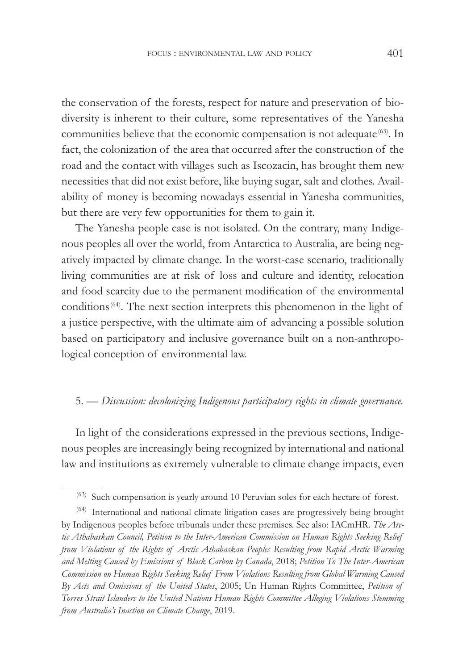the conservation of the forests, respect for nature and preservation of biodiversity is inherent to their culture, some representatives of the Yanesha communities believe that the economic compensation is not adequate<sup>(63)</sup>. In fact, the colonization of the area that occurred after the construction of the road and the contact with villages such as Iscozacin, has brought them new necessities that did not exist before, like buying sugar, salt and clothes. Availability of money is becoming nowadays essential in Yanesha communities, but there are very few opportunities for them to gain it.

The Yanesha people case is not isolated. On the contrary, many Indigenous peoples all over the world, from Antarctica to Australia, are being negatively impacted by climate change. In the worst-case scenario, traditionally living communities are at risk of loss and culture and identity, relocation and food scarcity due to the permanent modification of the environmental conditions<sup>(64)</sup>. The next section interprets this phenomenon in the light of a justice perspective, with the ultimate aim of advancing a possible solution based on participatory and inclusive governance built on a non-anthropological conception of environmental law.

### 5. — *Discussion: decolonizing Indigenous participatory rights in climate governance*.

In light of the considerations expressed in the previous sections, Indigenous peoples are increasingly being recognized by international and national law and institutions as extremely vulnerable to climate change impacts, even

<sup>(63)</sup> Such compensation is yearly around 10 Peruvian soles for each hectare of forest.

<sup>(64)</sup> International and national climate litigation cases are progressively being brought by Indigenous peoples before tribunals under these premises. See also: IACmHR. *The Arc*tic Athabaskan Council, Petition to the Inter-American Commission on Human Rights Seeking Relief *from Violations of the Rights of Arctic Athabaskan Peoples Resulting from Rapid Arctic Warming* and Melting Caused by Emissions of Black Carbon by Canada, 2018; Petition To The Inter-American Commission on Human Rights Seeking Relief From Violations Resulting from Global Warming Caused By Acts and Omissions of the United States, 2005; Un Human Rights Committee, *Petition of* Torres Strait Islanders to the United Nations Human Rights Committee Alleging Violations Stemming *from Australia's Inaction on Climate Change, 2019.*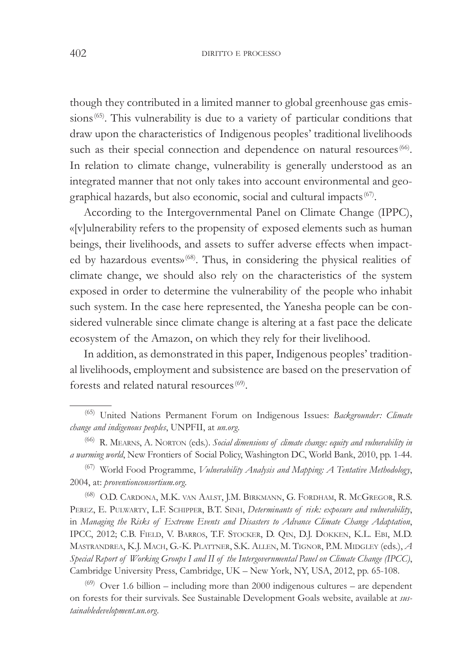though they contributed in a limited manner to global greenhouse gas emissions<sup>(65)</sup>. This vulnerability is due to a variety of particular conditions that draw upon the characteristics of Indigenous peoples' traditional livelihoods such as their special connection and dependence on natural resources<sup>(66)</sup>. In relation to climate change, vulnerability is generally understood as an integrated manner that not only takes into account environmental and geographical hazards, but also economic, social and cultural impacts  ${}^{(67)}$ .

According to the Intergovernmental Panel on Climate Change (IPPC), «[v]ulnerability refers to the propensity of exposed elements such as human beings, their livelihoods, and assets to suffer adverse effects when impacted by hazardous events»<sup>(68)</sup>. Thus, in considering the physical realities of climate change, we should also rely on the characteristics of the system exposed in order to determine the vulnerability of the people who inhabit such system. In the case here represented, the Yanesha people can be considered vulnerable since climate change is altering at a fast pace the delicate ecosystem of the Amazon, on which they rely for their livelihood.

In addition, as demonstrated in this paper, Indigenous peoples' traditional livelihoods, employment and subsistence are based on the preservation of forests and related natural resources<sup>(69)</sup>.

<sup>(67)</sup> World Food Programme, *Vulnerability Analysis and Mapping: A Tentative Methodology*, 2004, at: *proventionconsortium.org.* 

(68) O.D. CARDONA, M.K. VAN AALST, J.M. BIRKMANN, G. FORDHAM, R. MCGREGOR, R.S. PEREZ, E. PULWARTY, L.F. SCHIPPER, B.T. SINH, *Determinants of risk: exposure and vulnerability*, in *Managing the Risks of Extreme Events and Disasters to Advance Climate Change Adaptation*, IPCC, 2012; C.B. FIELD, V. BARROS, T.F. STOCKER, D. QIN, D.J. DOKKEN, K.L. EBI, M.D. MASTRANDREA, K.J. MACH, G.-K. PLATTNER, S.K. ALLEN, M. TIGNOR, P.M. MIDGLEY (eds.), *A* Special Report of Working Groups I and II of the Intergovernmental Panel on Climate Change (IPCC), Cambridge University Press, Cambridge, UK – New York, NY, USA, 2012, pp. 65-108.

 $(69)$  Over 1.6 billion – including more than 2000 indigenous cultures – are dependent on forests for their survivals. See Sustainable Development Goals website, available at sus $tainable development.un.org.$ 

<sup>&</sup>lt;sup>(65)</sup> United Nations Permanent Forum on Indigenous Issues: *Backgrounder: Climate change and indigenous peoples*, UNPFII, at *un.org*.

<sup>(66)</sup> R. MEARNS, A. NORTON (eds.). Social dimensions of climate change: equity and vulnerability in a warming world, New Frontiers of Social Policy, Washington DC, World Bank, 2010, pp. 1-44.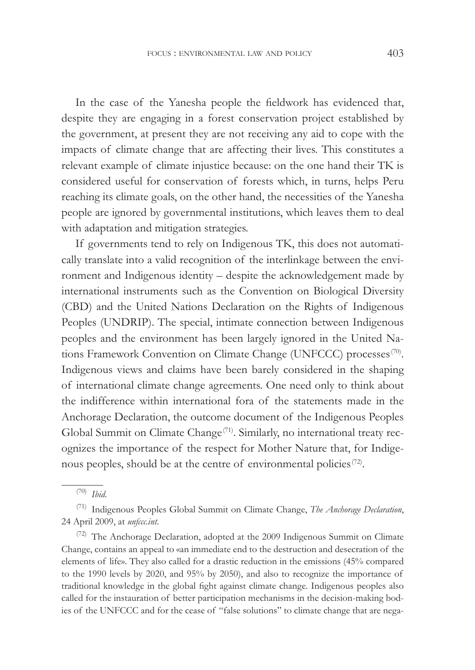In the case of the Yanesha people the fieldwork has evidenced that, despite they are engaging in a forest conservation project established by the government, at present they are not receiving any aid to cope with the impacts of climate change that are affecting their lives. This constitutes a relevant example of climate injustice because: on the one hand their TK is considered useful for conservation of forests which, in turns, helps Peru reaching its climate goals, on the other hand, the necessities of the Yanesha people are ignored by governmental institutions, which leaves them to deal with adaptation and mitigation strategies.

If governments tend to rely on Indigenous TK, this does not automatically translate into a valid recognition of the interlinkage between the environment and Indigenous identity – despite the acknowledgement made by international instruments such as the Convention on Biological Diversity (CBD) and the United Nations Declaration on the Rights of Indigenous Peoples (UNDRIP). The special, intimate connection between Indigenous peoples and the environment has been largely ignored in the United Nations Framework Convention on Climate Change (UNFCCC) processes<sup>(70)</sup>. Indigenous views and claims have been barely considered in the shaping of international climate change agreements. One need only to think about the indifference within international fora of the statements made in the Anchorage Declaration, the outcome document of the Indigenous Peoples Global Summit on Climate Change<sup>(71)</sup>. Similarly, no international treaty recognizes the importance of the respect for Mother Nature that, for Indigenous peoples, should be at the centre of environmental policies<sup>(72)</sup>.

 $(70)$  *Ihid.* 

<sup>&</sup>lt;sup>(71)</sup> Indigenous Peoples Global Summit on Climate Change, *The Anchorage Declaration*, 24 April 2009, at *unfccc.int*.

 $(72)$  The Anchorage Declaration, adopted at the 2009 Indigenous Summit on Climate Change, contains an appeal to «an immediate end to the destruction and desecration of the elements of life». They also called for a drastic reduction in the emissions (45% compared to the 1990 levels by 2020, and 95% by 2050), and also to recognize the importance of traditional knowledge in the global fight against climate change. Indigenous peoples also called for the instauration of better participation mechanisms in the decision-making bodies of the UNFCCC and for the cease of "false solutions" to climate change that are nega-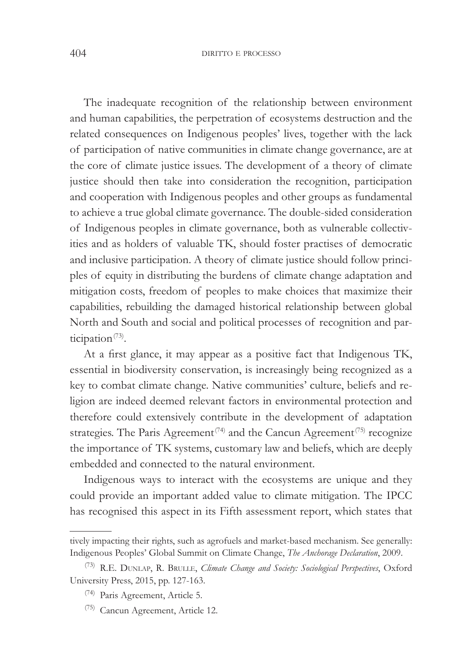The inadequate recognition of the relationship between environment and human capabilities, the perpetration of ecosystems destruction and the related consequences on Indigenous peoples' lives, together with the lack of participation of native communities in climate change governance, are at the core of climate justice issues. The development of a theory of climate justice should then take into consideration the recognition, participation and cooperation with Indigenous peoples and other groups as fundamental to achieve a true global climate governance. The double-sided consideration of Indigenous peoples in climate governance, both as vulnerable collectivities and as holders of valuable TK, should foster practises of democratic and inclusive participation. A theory of climate justice should follow principles of equity in distributing the burdens of climate change adaptation and mitigation costs, freedom of peoples to make choices that maximize their capabilities, rebuilding the damaged historical relationship between global North and South and social and political processes of recognition and participation<sup>(73)</sup>.

At a first glance, it may appear as a positive fact that Indigenous TK, essential in biodiversity conservation, is increasingly being recognized as a key to combat climate change. Native communities' culture, beliefs and religion are indeed deemed relevant factors in environmental protection and therefore could extensively contribute in the development of adaptation strategies. The Paris Agreement<sup>(74)</sup> and the Cancun Agreement<sup>(75)</sup> recognize the importance of TK systems, customary law and beliefs, which are deeply embedded and connected to the natural environment.

Indigenous ways to interact with the ecosystems are unique and they could provide an important added value to climate mitigation. The IPCC has recognised this aspect in its Fifth assessment report, which states that

tively impacting their rights, such as agrofuels and market-based mechanism. See generally: Indigenous Peoples' Global Summit on Climate Change, *The Anchorage Declaration*, 2009.

<sup>&</sup>lt;sup>(73)</sup> R.E. DUNLAP, R. BRULLE, *Climate Change and Society: Sociological Perspectives*, Oxford University Press, 2015, pp. 127-163.

<sup>(74)</sup> Paris Agreement, Article 5.

<sup>(75)</sup> Cancun Agreement, Article 12.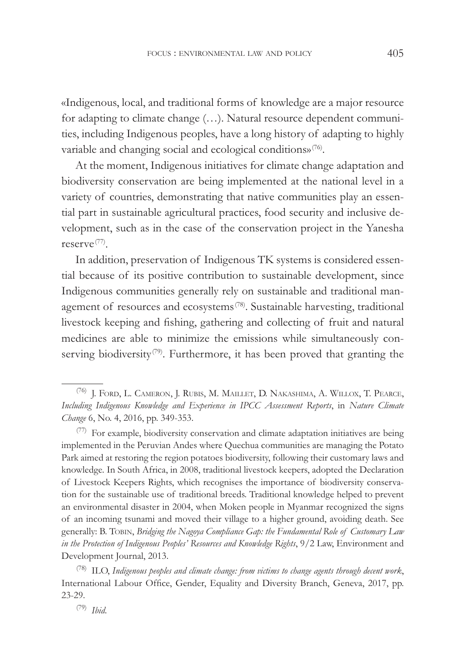«Indigenous, local, and traditional forms of knowledge are a major resource for adapting to climate change (…). Natural resource dependent communities, including Indigenous peoples, have a long history of adapting to highly variable and changing social and ecological conditions»<sup>(76)</sup>.

At the moment, Indigenous initiatives for climate change adaptation and biodiversity conservation are being implemented at the national level in a variety of countries, demonstrating that native communities play an essential part in sustainable agricultural practices, food security and inclusive development, such as in the case of the conservation project in the Yanesha reserve(77) .

In addition, preservation of Indigenous TK systems is considered essential because of its positive contribution to sustainable development, since Indigenous communities generally rely on sustainable and traditional management of resources and ecosystems<sup>(78)</sup>. Sustainable harvesting, traditional livestock keeping and fishing, gathering and collecting of fruit and natural medicines are able to minimize the emissions while simultaneously conserving biodiversity<sup>(79)</sup>. Furthermore, it has been proved that granting the

 $(77)$  For example, biodiversity conservation and climate adaptation initiatives are being implemented in the Peruvian Andes where Quechua communities are managing the Potato Park aimed at restoring the region potatoes biodiversity, following their customary laws and knowledge. In South Africa, in 2008, traditional livestock keepers, adopted the Declaration of Livestock Keepers Rights, which recognises the importance of biodiversity conservation for the sustainable use of traditional breeds. Traditional knowledge helped to prevent an environmental disaster in 2004, when Moken people in Myanmar recognized the signs of an incoming tsunami and moved their village to a higher ground, avoiding death. See generally: B. TOBIN, *Bridging the Nagoya Compliance Gap: the Fundamental Role of Customary Law* in the Protection of Indigenous Peoples' Resources and Knowledge Rights, 9/2 Law, Environment and Development Journal, 2013.

<sup>(78)</sup> ILO, Indigenous peoples and climate change: from victims to change agents through decent work, International Labour Office, Gender, Equality and Diversity Branch, Geneva, 2017, pp. 23-29.

(79) *Ibid.* 

 $^{(76)}$ J. FORD, L. CAMERON, J. RUBIS, M. MAILLET, D. NAKASHIMA, A. WILLOX, T. PEARCE, Including Indigenous Knowledge and Experience in IPCC Assessment Reports, in Nature Climate Change 6, No. 4, 2016, pp. 349-353.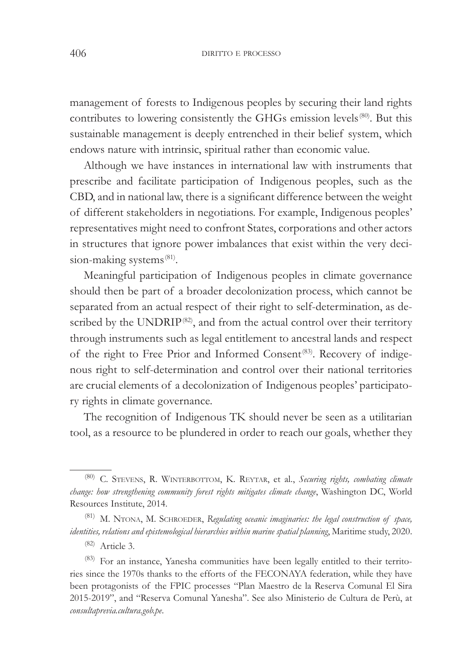management of forests to Indigenous peoples by securing their land rights contributes to lowering consistently the GHGs emission levels<sup>(80)</sup>. But this sustainable management is deeply entrenched in their belief system, which endows nature with intrinsic, spiritual rather than economic value.

Although we have instances in international law with instruments that prescribe and facilitate participation of Indigenous peoples, such as the CBD, and in national law, there is a significant difference between the weight of different stakeholders in negotiations. For example, Indigenous peoples' representatives might need to confront States, corporations and other actors in structures that ignore power imbalances that exist within the very decision-making systems<sup>(81)</sup>.

Meaningful participation of Indigenous peoples in climate governance should then be part of a broader decolonization process, which cannot be separated from an actual respect of their right to self-determination, as described by the UNDRIP<sup>(82)</sup>, and from the actual control over their territory through instruments such as legal entitlement to ancestral lands and respect of the right to Free Prior and Informed Consent<sup>(83)</sup>. Recovery of indigenous right to self-determination and control over their national territories are crucial elements of a decolonization of Indigenous peoples' participatory rights in climate governance.

The recognition of Indigenous TK should never be seen as a utilitarian tool, as a resource to be plundered in order to reach our goals, whether they

<sup>&</sup>lt;sup>(80)</sup> C. STEVENS, R. WINTERBOTTOM, K. REYTAR, et al., *Securing rights, combating climate* change: how strengthening community forest rights mitigates climate change, Washington DC, World Resources Institute, 2014.

<sup>&</sup>lt;sup>(81)</sup> M. NTONA, M. SCHROEDER, Regulating oceanic imaginaries: the legal construction of space, identities, relations and epistemological hierarchies within marine spatial planning, Maritime study, 2020.

<sup>(82)</sup> Article 3.

<sup>&</sup>lt;sup>(83)</sup> For an instance, Yanesha communities have been legally entitled to their territories since the 1970s thanks to the efforts of the FECONAYA federation, while they have been protagonists of the FPIC processes "Plan Maestro de la Reserva Comunal El Sira 2015-2019", and "Reserva Comunal Yanesha". See also Ministerio de Cultura de Perù, at  $consultaprevia.cultura.google,be.$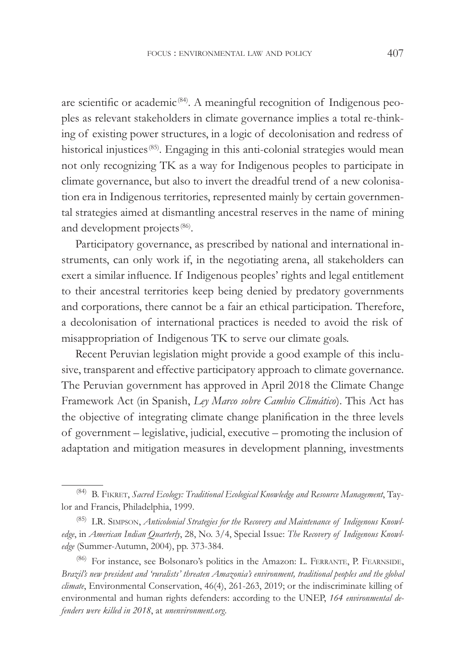are scientific or academic<sup> $(84)$ </sup>. A meaningful recognition of Indigenous peoples as relevant stakeholders in climate governance implies a total re-thinking of existing power structures, in a logic of decolonisation and redress of historical injustices<sup>(85)</sup>. Engaging in this anti-colonial strategies would mean not only recognizing TK as a way for Indigenous peoples to participate in climate governance, but also to invert the dreadful trend of a new colonisation era in Indigenous territories, represented mainly by certain governmental strategies aimed at dismantling ancestral reserves in the name of mining and development projects<sup>(86)</sup>.

Participatory governance, as prescribed by national and international instruments, can only work if, in the negotiating arena, all stakeholders can exert a similar influence. If Indigenous peoples' rights and legal entitlement to their ancestral territories keep being denied by predatory governments and corporations, there cannot be a fair an ethical participation. Therefore, a decolonisation of international practices is needed to avoid the risk of misappropriation of Indigenous TK to serve our climate goals.

Recent Peruvian legislation might provide a good example of this inclusive, transparent and effective participatory approach to climate governance. The Peruvian government has approved in April 2018 the Climate Change Framework Act (in Spanish, *Ley Marco sobre Cambio Climático*). This Act has the objective of integrating climate change planification in the three levels of government – legislative, judicial, executive – promoting the inclusion of adaptation and mitigation measures in development planning, investments

<sup>&</sup>lt;sup>(84)</sup> B. FIKRET, *Sacred Ecology: Traditional Ecological Knowledge and Resource Management*, Taylor and Francis, Philadelphia, 1999.

<sup>&</sup>lt;sup>(85)</sup> LR. SIMPSON, *Anticolonial Strategies for the Recovery and Maintenance of Indigenous Knowl*edge, in *American Indian Quarterly*, 28, No. 3/4, Special Issue: *The Recovery of Indigenous Knowledge* (Summer-Autumn, 2004), pp. 373-384.

<sup>(86)</sup> For instance, see Bolsonaro's politics in the Amazon: L. FERRANTE, P. FEARNSIDE, Brazil's new president and 'ruralists' threaten Amazonia's environment, traditional peoples and the global *climate*, Environmental Conservation, 46(4), 261-263, 2019; or the indiscriminate killing of environmental and human rights defenders: according to the UNEP, 164 environmental de*fenders were killed in 2018*, at *unenvironment.org.*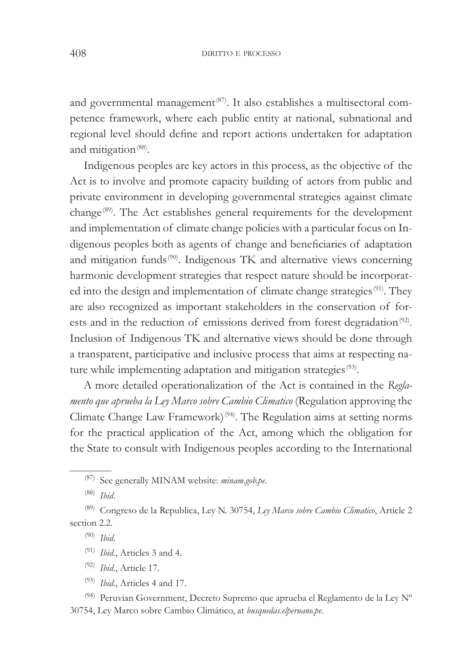and governmental management $(87)$ . It also establishes a multisectoral competence framework, where each public entity at national, subnational and regional level should define and report actions undertaken for adaptation and mitigation<sup>(88)</sup>.

Indigenous peoples are key actors in this process, as the objective of the Act is to involve and promote capacity building of actors from public and private environment in developing governmental strategies against climate change<sup>(89)</sup>. The Act establishes general requirements for the development and implementation of climate change policies with a particular focus on Indigenous peoples both as agents of change and beneficiaries of adaptation and mitigation funds<sup>(90)</sup>. Indigenous TK and alternative views concerning harmonic development strategies that respect nature should be incorporated into the design and implementation of climate change strategies<sup>(91)</sup>. They are also recognized as important stakeholders in the conservation of forests and in the reduction of emissions derived from forest degradation<sup>(92)</sup>. Inclusion of Indigenous TK and alternative views should be done through a transparent, participative and inclusive process that aims at respecting nature while implementing adaptation and mitigation strategies<sup>(93)</sup>.

A more detailed operationalization of the Act is contained in the Regla*mento que aprueba la Ley Marco sobre Cambio Climatico* (Regulation approving the Climate Change Law Framework $(94)$ . The Regulation aims at setting norms for the practical application of the Act, among which the obligation for the State to consult with Indigenous peoples according to the International

- <sup>(91)</sup> *Ibid.*, Articles 3 and 4.
- <sup>(92)</sup> *Ibid.*, Article 17.
- <sup>(93)</sup> *Ibid.*, Articles 4 and 17.

(94) Peruvian Government, Decreto Supremo que aprueba el Reglamento de la Ley N° 30754, Ley Marco sobre Cambio Climático, at *busquedas.elperuano.pe*.

<sup>&</sup>lt;sup>(87)</sup> See generally MINAM website: *minam.gob.pe*.

<sup>&</sup>lt;sup>(88)</sup> *Ibid.* 

<sup>&</sup>lt;sup>(89)</sup> Congreso de la Republica, Ley N. 30754, Ley Marco sobre Cambio Climatico, Article 2 section 2.2.

 $(90)$  *Ibid.*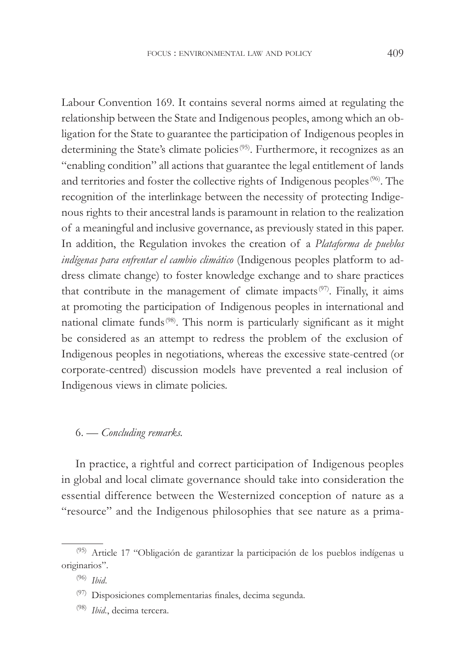Labour Convention 169. It contains several norms aimed at regulating the relationship between the State and Indigenous peoples, among which an obligation for the State to guarantee the participation of Indigenous peoples in determining the State's climate policies<sup>(95)</sup>. Furthermore, it recognizes as an "enabling condition" all actions that guarantee the legal entitlement of lands and territories and foster the collective rights of Indigenous peoples<sup>(96)</sup>. The recognition of the interlinkage between the necessity of protecting Indigenous rights to their ancestral lands is paramount in relation to the realization of a meaningful and inclusive governance, as previously stated in this paper. In addition, the Regulation invokes the creation of a *Plataforma de pueblos indígenas para enfrentar el cambio climático* (Indigenous peoples platform to address climate change) to foster knowledge exchange and to share practices that contribute in the management of climate impacts<sup>(97)</sup>. Finally, it aims at promoting the participation of Indigenous peoples in international and national climate funds<sup>(98)</sup>. This norm is particularly significant as it might be considered as an attempt to redress the problem of the exclusion of Indigenous peoples in negotiations, whereas the excessive state-centred (or corporate-centred) discussion models have prevented a real inclusion of Indigenous views in climate policies.

#### 6. — *Concluding remarks*.

In practice, a rightful and correct participation of Indigenous peoples in global and local climate governance should take into consideration the essential difference between the Westernized conception of nature as a "resource" and the Indigenous philosophies that see nature as a prima-

<sup>(95)</sup> Article 17 "Obligación de garantizar la participación de los pueblos indígenas u originarios".

<sup>&</sup>lt;sup>(96)</sup> *Ibid.* 

 $(97)$  Disposiciones complementarias finales, decima segunda.

Ibid., decima tercera.